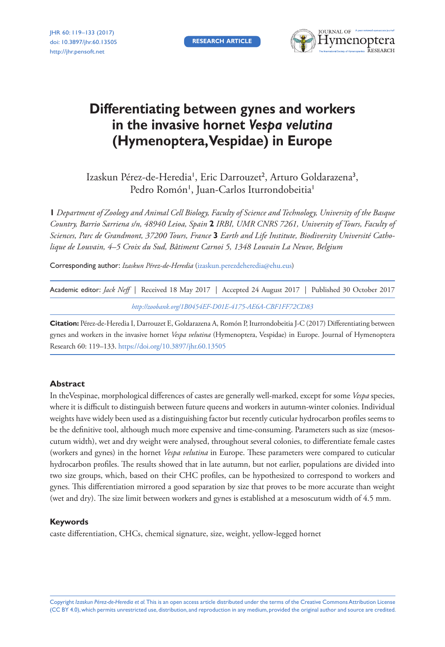**RESEARCH ARTICLE**



# **Differentiating between gynes and workers in the invasive hornet** *Vespa velutina* **(Hymenoptera, Vespidae) in Europe**

Izaskun Pérez-de-Heredia<sup>1</sup>, Eric Darrouzet<sup>2</sup>, Arturo Goldarazena<sup>3</sup>, Pedro Romón<sup>1</sup>, Juan-Carlos Iturrondobeitia<sup>1</sup>

**1** *Department of Zoology and Animal Cell Biology, Faculty of Science and Technology, University of the Basque Country, Barrio Sarriena s/n, 48940 Leioa, Spain* **2** *IRBI, UMR CNRS 7261, University of Tours, Faculty of Sciences, Parc de Grandmont, 37200 Tours, France* **3** *Earth and Life Institute, Biodiversity Université Catholique de Louvain, 4–5 Croix du Sud, Bâtiment Carnoi 5, 1348 Louvain La Neuve, Belgium*

Corresponding author: *Izaskun Pérez-de-Heredia* ([izaskun.perezdeheredia@ehu.eus\)](mailto:izaskun.perezdeheredia@ehu.eus)

|  | Academic editor: <i>Jack Neff</i>   Received 18 May 2017   Accepted 24 August 2017   Published 30 October 2017 |  |
|--|----------------------------------------------------------------------------------------------------------------|--|
|  | http://zoobank.org/1B0454EF-D01E-4175-AE6A-CBF1FF72CD83                                                        |  |

**Citation:** Pérez-de-Heredia I, Darrouzet E, Goldarazena A, Romón P, Iturrondobeitia J-C (2017) Differentiating between gynes and workers in the invasive hornet *Vespa velutina* (Hymenoptera, Vespidae) in Europe. Journal of Hymenoptera Research 60: 119–133.<https://doi.org/10.3897/jhr.60.13505>

#### **Abstract**

In theVespinae, morphological differences of castes are generally well-marked, except for some *Vespa* species, where it is difficult to distinguish between future queens and workers in autumn-winter colonies. Individual weights have widely been used as a distinguishing factor but recently cuticular hydrocarbon profiles seems to be the definitive tool, although much more expensive and time-consuming. Parameters such as size (mesoscutum width), wet and dry weight were analysed, throughout several colonies, to differentiate female castes (workers and gynes) in the hornet *Vespa velutina* in Europe. These parameters were compared to cuticular hydrocarbon profiles. The results showed that in late autumn, but not earlier, populations are divided into two size groups, which, based on their CHC profiles, can be hypothesized to correspond to workers and gynes. This differentiation mirrored a good separation by size that proves to be more accurate than weight (wet and dry). The size limit between workers and gynes is established at a mesoscutum width of 4.5 mm.

#### **Keywords**

caste differentiation, CHCs, chemical signature, size, weight, yellow-legged hornet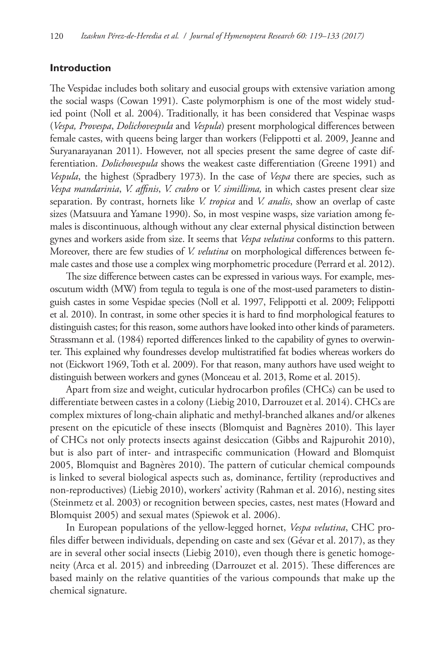## **Introduction**

The Vespidae includes both solitary and eusocial groups with extensive variation among the social wasps (Cowan 1991). Caste polymorphism is one of the most widely studied point (Noll et al. 2004). Traditionally, it has been considered that Vespinae wasps (*Vespa, Provespa*, *Dolichovespula* and *Vespula*) present morphological differences between female castes, with queens being larger than workers (Felippotti et al. 2009, Jeanne and Suryanarayanan 2011). However, not all species present the same degree of caste differentiation. *Dolichovespula* shows the weakest caste differentiation (Greene 1991) and *Vespula*, the highest (Spradbery 1973). In the case of *Vespa* there are species, such as *Vespa mandarinia*, *V. affinis*, *V. crabro* or *V. simillima,* in which castes present clear size separation. By contrast, hornets like *V. tropica* and *V. analis*, show an overlap of caste sizes (Matsuura and Yamane 1990). So, in most vespine wasps, size variation among females is discontinuous, although without any clear external physical distinction between gynes and workers aside from size. It seems that *Vespa velutina* conforms to this pattern. Moreover, there are few studies of *V. velutina* on morphological differences between female castes and those use a complex wing morphometric procedure (Perrard et al. 2012).

The size difference between castes can be expressed in various ways. For example, mesoscutum width (MW) from tegula to tegula is one of the most-used parameters to distinguish castes in some Vespidae species (Noll et al. 1997, Felippotti et al. 2009; Felippotti et al. 2010). In contrast, in some other species it is hard to find morphological features to distinguish castes; for this reason, some authors have looked into other kinds of parameters. Strassmann et al. (1984) reported differences linked to the capability of gynes to overwinter. This explained why foundresses develop multistratified fat bodies whereas workers do not (Eickwort 1969, Toth et al. 2009). For that reason, many authors have used weight to distinguish between workers and gynes (Monceau et al. 2013, Rome et al. 2015).

Apart from size and weight, cuticular hydrocarbon profiles (CHCs) can be used to differentiate between castes in a colony (Liebig 2010, Darrouzet et al. 2014). CHCs are complex mixtures of long-chain aliphatic and methyl-branched alkanes and/or alkenes present on the epicuticle of these insects (Blomquist and Bagnères 2010). This layer of CHCs not only protects insects against desiccation (Gibbs and Rajpurohit 2010), but is also part of inter- and intraspecific communication (Howard and Blomquist 2005, Blomquist and Bagnères 2010). The pattern of cuticular chemical compounds is linked to several biological aspects such as, dominance, fertility (reproductives and non-reproductives) (Liebig 2010), workers' activity (Rahman et al. 2016), nesting sites (Steinmetz et al. 2003) or recognition between species, castes, nest mates (Howard and Blomquist 2005) and sexual mates (Spiewok et al. 2006).

In European populations of the yellow-legged hornet, *Vespa velutina*, CHC profiles differ between individuals, depending on caste and sex (Gévar et al. 2017), as they are in several other social insects (Liebig 2010), even though there is genetic homogeneity (Arca et al. 2015) and inbreeding (Darrouzet et al. 2015). These differences are based mainly on the relative quantities of the various compounds that make up the chemical signature.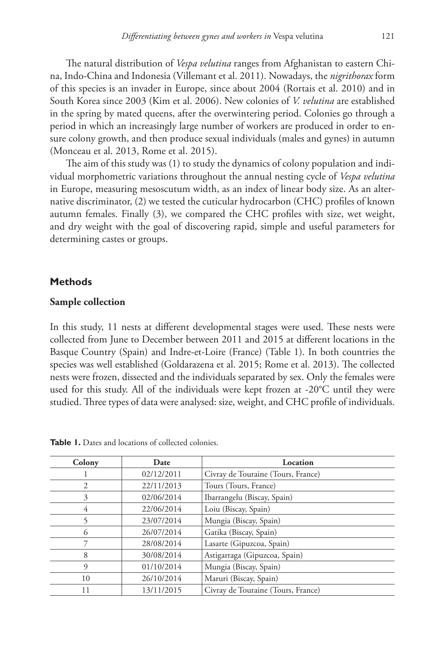The natural distribution of *Vespa velutina* ranges from Afghanistan to eastern China, Indo-China and Indonesia (Villemant et al. 2011). Nowadays, the *nigrithorax* form of this species is an invader in Europe, since about 2004 (Rortais et al. 2010) and in South Korea since 2003 (Kim et al. 2006). New colonies of *V. velutina* are established in the spring by mated queens, after the overwintering period. Colonies go through a period in which an increasingly large number of workers are produced in order to ensure colony growth, and then produce sexual individuals (males and gynes) in autumn (Monceau et al. 2013, Rome et al. 2015).

The aim of this study was (1) to study the dynamics of colony population and individual morphometric variations throughout the annual nesting cycle of *Vespa velutina*  in Europe, measuring mesoscutum width, as an index of linear body size. As an alternative discriminator, (2) we tested the cuticular hydrocarbon (CHC) profiles of known autumn females. Finally (3), we compared the CHC profiles with size, wet weight, and dry weight with the goal of discovering rapid, simple and useful parameters for determining castes or groups.

# **Methods**

#### **Sample collection**

In this study, 11 nests at different developmental stages were used. These nests were collected from June to December between 2011 and 2015 at different locations in the Basque Country (Spain) and Indre-et-Loire (France) (Table 1). In both countries the species was well established (Goldarazena et al. 2015; Rome et al. 2013). The collected nests were frozen, dissected and the individuals separated by sex. Only the females were used for this study. All of the individuals were kept frozen at -20°C until they were studied. Three types of data were analysed: size, weight, and CHC profile of individuals.

| Colony | Date       | Location                           |
|--------|------------|------------------------------------|
|        | 02/12/2011 | Civray de Touraine (Tours, France) |
| 2      | 22/11/2013 | Tours (Tours, France)              |
| 3      | 02/06/2014 | Ibarrangelu (Biscay, Spain)        |
| 4      | 22/06/2014 | Loiu (Biscay, Spain)               |
| 5      | 23/07/2014 | Mungia (Biscay, Spain)             |
| 6      | 26/07/2014 | Gatika (Biscay, Spain)             |
|        | 28/08/2014 | Lasarte (Gipuzcoa, Spain)          |
| 8      | 30/08/2014 | Astigarraga (Gipuzcoa, Spain)      |
| 9      | 01/10/2014 | Mungia (Biscay, Spain)             |
| 10     | 26/10/2014 | Maruri (Biscay, Spain)             |
| 11     | 13/11/2015 | Civray de Touraine (Tours, France) |

**Table 1.** Dates and locations of collected colonies.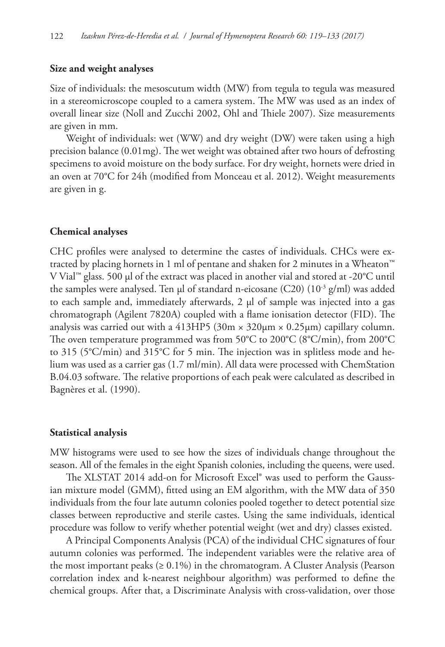### **Size and weight analyses**

Size of individuals: the mesoscutum width (MW) from tegula to tegula was measured in a stereomicroscope coupled to a camera system. The MW was used as an index of overall linear size (Noll and Zucchi 2002, Ohl and Thiele 2007). Size measurements are given in mm.

Weight of individuals: wet (WW) and dry weight (DW) were taken using a high precision balance (0.01mg). The wet weight was obtained after two hours of defrosting specimens to avoid moisture on the body surface. For dry weight, hornets were dried in an oven at 70°C for 24h (modified from Monceau et al. 2012). Weight measurements are given in g.

#### **Chemical analyses**

CHC profiles were analysed to determine the castes of individuals. CHCs were extracted by placing hornets in 1 ml of pentane and shaken for 2 minutes in a Wheaton™ V Vial™ glass. 500 µl of the extract was placed in another vial and stored at -20°C until the samples were analysed. Ten µl of standard n-eicosane (C20)  $(10^{-3} \text{ g/ml})$  was added to each sample and, immediately afterwards, 2 µl of sample was injected into a gas chromatograph (Agilent 7820A) coupled with a flame ionisation detector (FID). The analysis was carried out with a 413HP5 (30m  $\times$  320 $\mu$ m  $\times$  0.25 $\mu$ m) capillary column. The oven temperature programmed was from 50°C to 200°C (8°C/min), from 200°C to 315 (5°C/min) and 315°C for 5 min. The injection was in splitless mode and helium was used as a carrier gas (1.7 ml/min). All data were processed with ChemStation B.04.03 software. The relative proportions of each peak were calculated as described in Bagnères et al. (1990).

#### **Statistical analysis**

MW histograms were used to see how the sizes of individuals change throughout the season. All of the females in the eight Spanish colonies, including the queens, were used.

The XLSTAT 2014 add-on for Microsoft Excel® was used to perform the Gaussian mixture model (GMM), fitted using an EM algorithm, with the MW data of 350 individuals from the four late autumn colonies pooled together to detect potential size classes between reproductive and sterile castes. Using the same individuals, identical procedure was follow to verify whether potential weight (wet and dry) classes existed.

A Principal Components Analysis (PCA) of the individual CHC signatures of four autumn colonies was performed. The independent variables were the relative area of the most important peaks ( $\geq 0.1\%$ ) in the chromatogram. A Cluster Analysis (Pearson correlation index and k-nearest neighbour algorithm) was performed to define the chemical groups. After that, a Discriminate Analysis with cross-validation, over those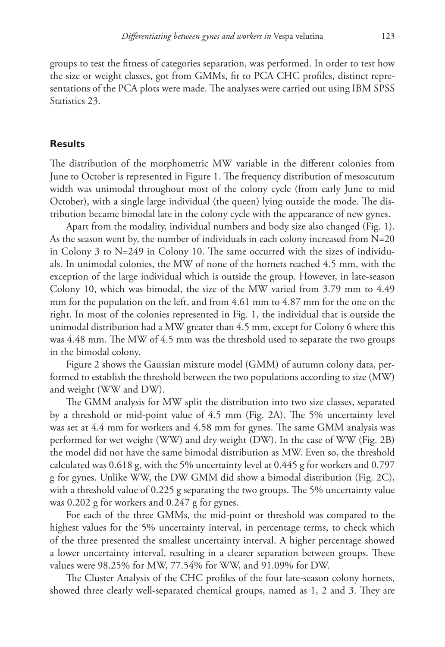groups to test the fitness of categories separation, was performed. In order to test how the size or weight classes, got from GMMs, fit to PCA CHC profiles, distinct representations of the PCA plots were made. The analyses were carried out using IBM SPSS Statistics 23.

#### **Results**

The distribution of the morphometric MW variable in the different colonies from June to October is represented in Figure 1. The frequency distribution of mesoscutum width was unimodal throughout most of the colony cycle (from early June to mid October), with a single large individual (the queen) lying outside the mode. The distribution became bimodal late in the colony cycle with the appearance of new gynes.

Apart from the modality, individual numbers and body size also changed (Fig. 1). As the season went by, the number of individuals in each colony increased from N=20 in Colony 3 to N=249 in Colony 10. The same occurred with the sizes of individuals. In unimodal colonies, the MW of none of the hornets reached 4.5 mm, with the exception of the large individual which is outside the group. However, in late-season Colony 10, which was bimodal, the size of the MW varied from 3.79 mm to 4.49 mm for the population on the left, and from 4.61 mm to 4.87 mm for the one on the right. In most of the colonies represented in Fig. 1, the individual that is outside the unimodal distribution had a MW greater than 4.5 mm, except for Colony 6 where this was 4.48 mm. The MW of 4.5 mm was the threshold used to separate the two groups in the bimodal colony.

Figure 2 shows the Gaussian mixture model (GMM) of autumn colony data, performed to establish the threshold between the two populations according to size (MW) and weight (WW and DW).

The GMM analysis for MW split the distribution into two size classes, separated by a threshold or mid-point value of 4.5 mm (Fig. 2A). The 5% uncertainty level was set at 4.4 mm for workers and 4.58 mm for gynes. The same GMM analysis was performed for wet weight (WW) and dry weight (DW). In the case of WW (Fig. 2B) the model did not have the same bimodal distribution as MW. Even so, the threshold calculated was 0.618 g, with the 5% uncertainty level at 0.445 g for workers and 0.797 g for gynes. Unlike WW, the DW GMM did show a bimodal distribution (Fig. 2C), with a threshold value of 0.225 g separating the two groups. The 5% uncertainty value was 0.202 g for workers and 0.247 g for gynes.

For each of the three GMMs, the mid-point or threshold was compared to the highest values for the 5% uncertainty interval, in percentage terms, to check which of the three presented the smallest uncertainty interval. A higher percentage showed a lower uncertainty interval, resulting in a clearer separation between groups. These values were 98.25% for MW, 77.54% for WW, and 91.09% for DW.

The Cluster Analysis of the CHC profiles of the four late-season colony hornets, showed three clearly well-separated chemical groups, named as 1, 2 and 3. They are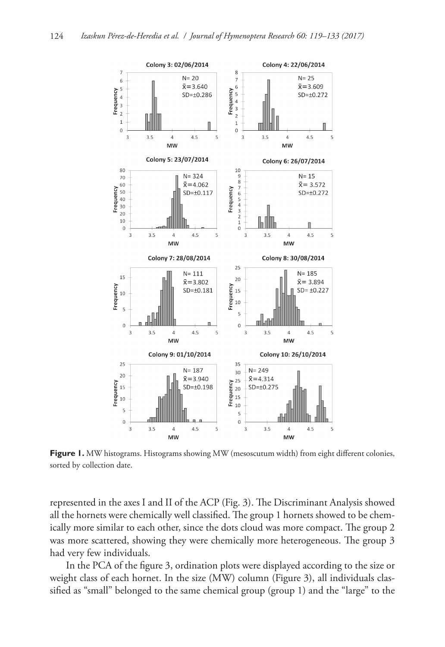

**Figure 1.** MW histograms. Histograms showing MW (mesoscutum width) from eight different colonies, sorted by collection date.

represented in the axes I and II of the ACP (Fig. 3). The Discriminant Analysis showed all the hornets were chemically well classified. The group 1 hornets showed to be chemically more similar to each other, since the dots cloud was more compact. The group 2 was more scattered, showing they were chemically more heterogeneous. The group 3 had very few individuals.

In the PCA of the figure 3, ordination plots were displayed according to the size or weight class of each hornet. In the size (MW) column (Figure 3), all individuals classified as "small" belonged to the same chemical group (group 1) and the "large" to the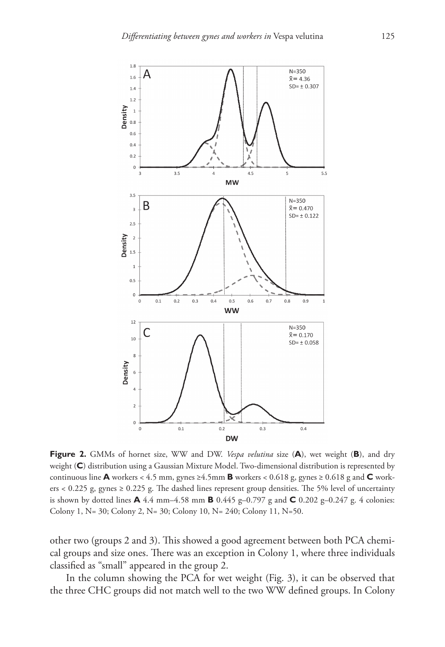

**Figure 2.** GMMs of hornet size, WW and DW. *Vespa velutina* size (**A**), wet weight (**B**), and dry weight (**C**) distribution using a Gaussian Mixture Model. Two-dimensional distribution is represented by continuous line **A** workers < 4.5 mm, gynes ≥4.5mm **B** workers < 0.618 g, gynes ≥ 0.618 g and **C** workers < 0.225 g, gynes  $\geq 0.225$  g. The dashed lines represent group densities. The 5% level of uncertainty is shown by dotted lines **A** 4.4 mm–4.58 mm **B** 0.445 g–0.797 g and **C** 0.202 g–0.247 g. 4 colonies: Colony 1, N= 30; Colony 2, N= 30; Colony 10, N= 240; Colony 11, N=50.

other two (groups 2 and 3). This showed a good agreement between both PCA chemical groups and size ones. There was an exception in Colony 1, where three individuals classified as "small" appeared in the group 2.

In the column showing the PCA for wet weight (Fig. 3), it can be observed that the three CHC groups did not match well to the two WW defined groups. In Colony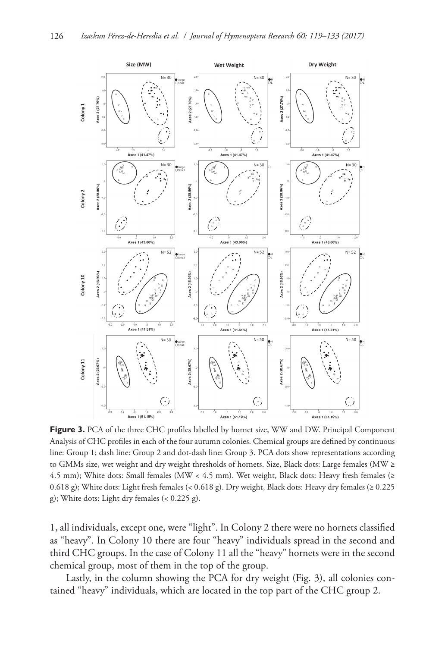

**Figure 3.** PCA of the three CHC profiles labelled by hornet size, WW and DW. Principal Component Analysis of CHC profiles in each of the four autumn colonies. Chemical groups are defined by continuous line: Group 1; dash line: Group 2 and dot-dash line: Group 3. PCA dots show representations according to GMMs size, wet weight and dry weight thresholds of hornets. Size, Black dots: Large females (MW ≥ 4.5 mm); White dots: Small females (MW < 4.5 mm). Wet weight, Black dots: Heavy fresh females (≥ 0.618 g); White dots: Light fresh females (< 0.618 g). Dry weight, Black dots: Heavy dry females (≥ 0.225 g); White dots: Light dry females (< 0.225 g).

1, all individuals, except one, were "light". In Colony 2 there were no hornets classified as "heavy". In Colony 10 there are four "heavy" individuals spread in the second and third CHC groups. In the case of Colony 11 all the "heavy" hornets were in the second chemical group, most of them in the top of the group.

Lastly, in the column showing the PCA for dry weight (Fig. 3), all colonies contained "heavy" individuals, which are located in the top part of the CHC group 2.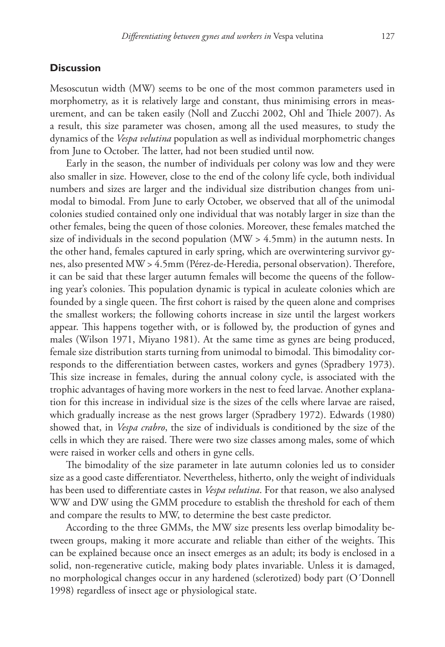## **Discussion**

Mesoscutun width (MW) seems to be one of the most common parameters used in morphometry, as it is relatively large and constant, thus minimising errors in measurement, and can be taken easily (Noll and Zucchi 2002, Ohl and Thiele 2007). As a result, this size parameter was chosen, among all the used measures, to study the dynamics of the *Vespa velutina* population as well as individual morphometric changes from June to October. The latter, had not been studied until now.

Early in the season, the number of individuals per colony was low and they were also smaller in size. However, close to the end of the colony life cycle, both individual numbers and sizes are larger and the individual size distribution changes from unimodal to bimodal. From June to early October, we observed that all of the unimodal colonies studied contained only one individual that was notably larger in size than the other females, being the queen of those colonies. Moreover, these females matched the size of individuals in the second population (MW > 4.5mm) in the autumn nests. In the other hand, females captured in early spring, which are overwintering survivor gynes, also presented MW > 4.5mm (Pérez-de-Heredia, personal observation). Therefore, it can be said that these larger autumn females will become the queens of the following year's colonies. This population dynamic is typical in aculeate colonies which are founded by a single queen. The first cohort is raised by the queen alone and comprises the smallest workers; the following cohorts increase in size until the largest workers appear. This happens together with, or is followed by, the production of gynes and males (Wilson 1971, Miyano 1981). At the same time as gynes are being produced, female size distribution starts turning from unimodal to bimodal. This bimodality corresponds to the differentiation between castes, workers and gynes (Spradbery 1973). This size increase in females, during the annual colony cycle, is associated with the trophic advantages of having more workers in the nest to feed larvae. Another explanation for this increase in individual size is the sizes of the cells where larvae are raised, which gradually increase as the nest grows larger (Spradbery 1972). Edwards (1980) showed that, in *Vespa crabro*, the size of individuals is conditioned by the size of the cells in which they are raised. There were two size classes among males, some of which were raised in worker cells and others in gyne cells.

The bimodality of the size parameter in late autumn colonies led us to consider size as a good caste differentiator. Nevertheless, hitherto, only the weight of individuals has been used to differentiate castes in *Vespa velutina*. For that reason, we also analysed WW and DW using the GMM procedure to establish the threshold for each of them and compare the results to MW, to determine the best caste predictor.

According to the three GMMs, the MW size presents less overlap bimodality between groups, making it more accurate and reliable than either of the weights. This can be explained because once an insect emerges as an adult; its body is enclosed in a solid, non-regenerative cuticle, making body plates invariable. Unless it is damaged, no morphological changes occur in any hardened (sclerotized) body part (O´Donnell 1998) regardless of insect age or physiological state.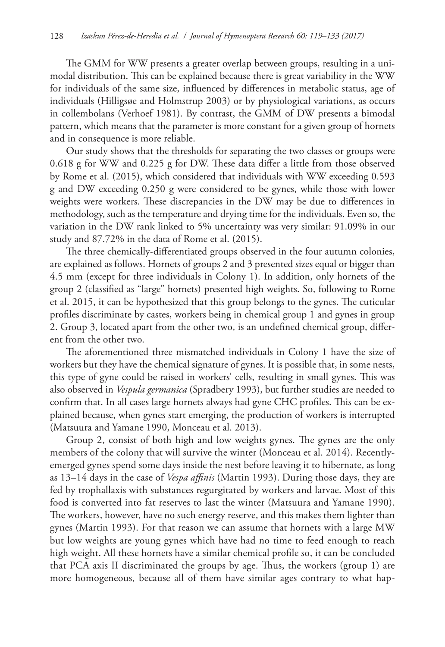The GMM for WW presents a greater overlap between groups, resulting in a unimodal distribution. This can be explained because there is great variability in the WW for individuals of the same size, influenced by differences in metabolic status, age of individuals (Hilligsøe and Holmstrup 2003) or by physiological variations, as occurs in collembolans (Verhoef 1981). By contrast, the GMM of DW presents a bimodal pattern, which means that the parameter is more constant for a given group of hornets and in consequence is more reliable.

Our study shows that the thresholds for separating the two classes or groups were 0.618 g for WW and 0.225 g for DW. These data differ a little from those observed by Rome et al. (2015), which considered that individuals with WW exceeding 0.593 g and DW exceeding 0.250 g were considered to be gynes, while those with lower weights were workers. These discrepancies in the DW may be due to differences in methodology, such as the temperature and drying time for the individuals. Even so, the variation in the DW rank linked to 5% uncertainty was very similar: 91.09% in our study and 87.72% in the data of Rome et al. (2015).

The three chemically-differentiated groups observed in the four autumn colonies, are explained as follows. Hornets of groups 2 and 3 presented sizes equal or bigger than 4.5 mm (except for three individuals in Colony 1). In addition, only hornets of the group 2 (classified as "large" hornets) presented high weights. So, following to Rome et al. 2015, it can be hypothesized that this group belongs to the gynes. The cuticular profiles discriminate by castes, workers being in chemical group 1 and gynes in group 2. Group 3, located apart from the other two, is an undefined chemical group, different from the other two.

The aforementioned three mismatched individuals in Colony 1 have the size of workers but they have the chemical signature of gynes. It is possible that, in some nests, this type of gyne could be raised in workers' cells, resulting in small gynes. This was also observed in *Vespula germanica* (Spradbery 1993), but further studies are needed to confirm that. In all cases large hornets always had gyne CHC profiles. This can be explained because, when gynes start emerging, the production of workers is interrupted (Matsuura and Yamane 1990, Monceau et al. 2013).

Group 2, consist of both high and low weights gynes. The gynes are the only members of the colony that will survive the winter (Monceau et al. 2014). Recentlyemerged gynes spend some days inside the nest before leaving it to hibernate, as long as 13–14 days in the case of *Vespa affinis* (Martin 1993). During those days, they are fed by trophallaxis with substances regurgitated by workers and larvae. Most of this food is converted into fat reserves to last the winter (Matsuura and Yamane 1990). The workers, however, have no such energy reserve, and this makes them lighter than gynes (Martin 1993). For that reason we can assume that hornets with a large MW but low weights are young gynes which have had no time to feed enough to reach high weight. All these hornets have a similar chemical profile so, it can be concluded that PCA axis II discriminated the groups by age. Thus, the workers (group 1) are more homogeneous, because all of them have similar ages contrary to what hap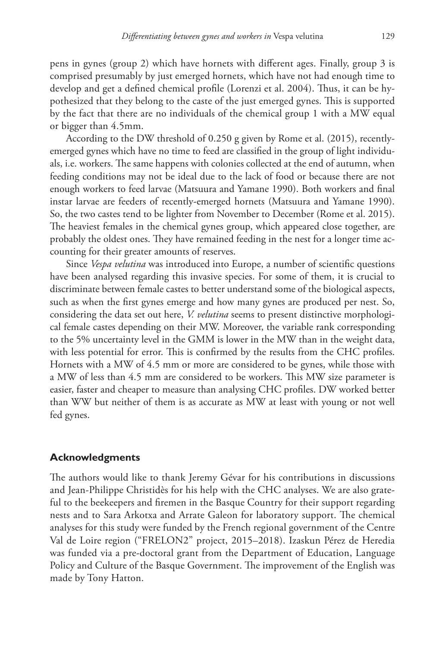pens in gynes (group 2) which have hornets with different ages. Finally, group 3 is comprised presumably by just emerged hornets, which have not had enough time to develop and get a defined chemical profile (Lorenzi et al. 2004). Thus, it can be hypothesized that they belong to the caste of the just emerged gynes. This is supported by the fact that there are no individuals of the chemical group 1 with a MW equal or bigger than 4.5mm.

According to the DW threshold of 0.250 g given by Rome et al. (2015), recentlyemerged gynes which have no time to feed are classified in the group of light individuals, i.e. workers. The same happens with colonies collected at the end of autumn, when feeding conditions may not be ideal due to the lack of food or because there are not enough workers to feed larvae (Matsuura and Yamane 1990). Both workers and final instar larvae are feeders of recently-emerged hornets (Matsuura and Yamane 1990). So, the two castes tend to be lighter from November to December (Rome et al. 2015). The heaviest females in the chemical gynes group, which appeared close together, are probably the oldest ones. They have remained feeding in the nest for a longer time accounting for their greater amounts of reserves.

Since *Vespa velutina* was introduced into Europe, a number of scientific questions have been analysed regarding this invasive species. For some of them, it is crucial to discriminate between female castes to better understand some of the biological aspects, such as when the first gynes emerge and how many gynes are produced per nest. So, considering the data set out here, *V. velutina* seems to present distinctive morphological female castes depending on their MW. Moreover, the variable rank corresponding to the 5% uncertainty level in the GMM is lower in the MW than in the weight data, with less potential for error. This is confirmed by the results from the CHC profiles. Hornets with a MW of 4.5 mm or more are considered to be gynes, while those with a MW of less than 4.5 mm are considered to be workers. This MW size parameter is easier, faster and cheaper to measure than analysing CHC profiles. DW worked better than WW but neither of them is as accurate as MW at least with young or not well fed gynes.

# **Acknowledgments**

The authors would like to thank Jeremy Gévar for his contributions in discussions and Jean-Philippe Christidès for his help with the CHC analyses. We are also grateful to the beekeepers and firemen in the Basque Country for their support regarding nests and to Sara Arkotxa and Arrate Galeon for laboratory support. The chemical analyses for this study were funded by the French regional government of the Centre Val de Loire region ("FRELON2" project, 2015–2018). Izaskun Pérez de Heredia was funded via a pre-doctoral grant from the Department of Education, Language Policy and Culture of the Basque Government. The improvement of the English was made by Tony Hatton.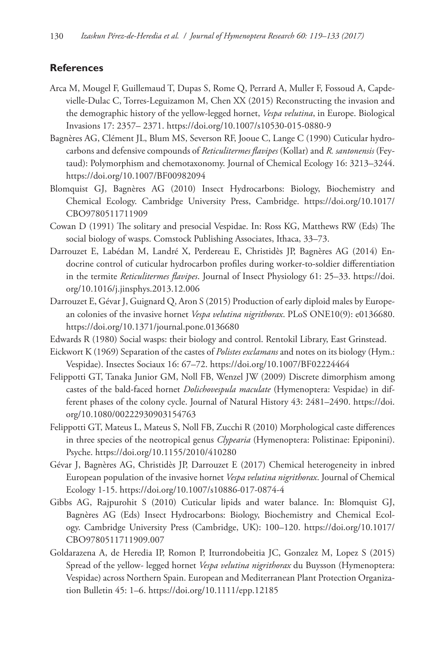# **References**

- Arca M, Mougel F, Guillemaud T, Dupas S, Rome Q, Perrard A, Muller F, Fossoud A, Capdevielle-Dulac C, Torres-Leguizamon M, Chen XX (2015) Reconstructing the invasion and the demographic history of the yellow-legged hornet, *Vespa velutina*, in Europe. Biological Invasions 17: 2357– 2371.<https://doi.org/10.1007/s10530-015-0880-9>
- Bagnères AG, Clément JL, Blum MS, Severson RF, Jooue C, Lange C (1990) Cuticular hydrocarbons and defensive compounds of *Reticulitermes flavipes* (Kollar) and *R. santonensis* (Feytaud): Polymorphism and chemotaxonomy. Journal of Chemical Ecology 16: 3213–3244. <https://doi.org/10.1007/BF00982094>
- Blomquist GJ, Bagnères AG (2010) Insect Hydrocarbons: Biology, Biochemistry and Chemical Ecology. Cambridge University Press, Cambridge. [https://doi.org/10.1017/](https://doi.org/10.1017/CBO9780511711909) [CBO9780511711909](https://doi.org/10.1017/CBO9780511711909)
- Cowan D (1991) The solitary and presocial Vespidae. In: Ross KG, Matthews RW (Eds) The social biology of wasps. Comstock Publishing Associates, Ithaca, 33–73.
- Darrouzet E, Labédan M, Landré X, Perdereau E, Christidès JP, Bagnères AG (2014) Endocrine control of cuticular hydrocarbon profiles during worker-to-soldier differentiation in the termite *Reticulitermes flavipes*. Journal of Insect Physiology 61: 25–33. [https://doi.](https://doi.org/10.1016/j.jinsphys.2013.12.006) [org/10.1016/j.jinsphys.2013.12.006](https://doi.org/10.1016/j.jinsphys.2013.12.006)
- Darrouzet E, Gévar J, Guignard Q, Aron S (2015) Production of early diploid males by European colonies of the invasive hornet *Vespa velutina nigrithorax*. PLoS ONE10(9): e0136680. <https://doi.org/10.1371/journal.pone.0136680>
- Edwards R (1980) Social wasps: their biology and control. Rentokil Library, East Grinstead.
- Eickwort K (1969) Separation of the castes of *Polistes exclamans* and notes on its biology (Hym.: Vespidae). Insectes Sociaux 16: 67–72. <https://doi.org/10.1007/BF02224464>
- Felippotti GT, Tanaka Junior GM, Noll FB, Wenzel JW (2009) Discrete dimorphism among castes of the bald-faced hornet *Dolichovespula maculate* (Hymenoptera: Vespidae) in different phases of the colony cycle. Journal of Natural History 43: 2481–2490. [https://doi.](https://doi.org/10.1080/00222930903154763) [org/10.1080/00222930903154763](https://doi.org/10.1080/00222930903154763)
- Felippotti GT, Mateus L, Mateus S, Noll FB, Zucchi R (2010) Morphological caste differences in three species of the neotropical genus *Clypearia* (Hymenoptera: Polistinae: Epiponini). Psyche.<https://doi.org/10.1155/2010/410280>
- Gévar J, Bagnères AG, Christidès JP, Darrouzet E (2017) Chemical heterogeneity in inbred European population of the invasive hornet *Vespa velutina nigrithorax*. Journal of Chemical Ecology 1-15. <https://doi.org/10.1007/s10886-017-0874-4>
- Gibbs AG, Rajpurohit S (2010) Cuticular lipids and water balance. In: Blomquist GJ, Bagnères AG (Eds) Insect Hydrocarbons: Biology, Biochemistry and Chemical Ecology. Cambridge University Press (Cambridge, UK): 100–120. [https://doi.org/10.1017/](https://doi.org/10.1017/CBO9780511711909.007) [CBO9780511711909.007](https://doi.org/10.1017/CBO9780511711909.007)
- Goldarazena A, de Heredia IP, Romon P, Iturrondobeitia JC, Gonzalez M, Lopez S (2015) Spread of the yellow- legged hornet *Vespa velutina nigrithorax* du Buysson (Hymenoptera: Vespidae) across Northern Spain. European and Mediterranean Plant Protection Organization Bulletin 45: 1–6.<https://doi.org/10.1111/epp.12185>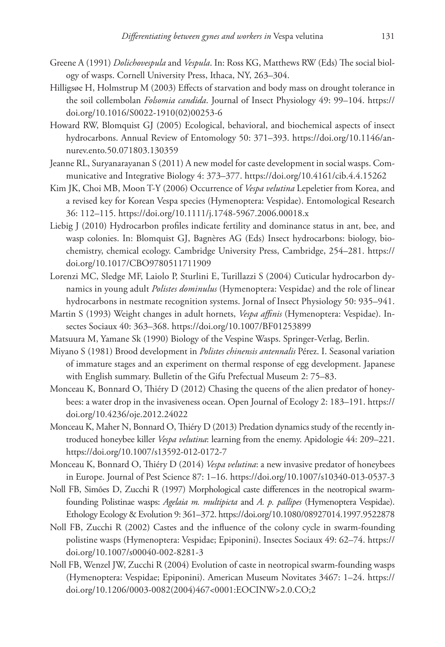- Greene A (1991) *Dolichovespula* and *Vespula*. In: Ross KG, Matthews RW (Eds) The social biology of wasps. Cornell University Press, Ithaca, NY, 263–304.
- Hilligsøe H, Holmstrup M (2003) Effects of starvation and body mass on drought tolerance in the soil collembolan *Folsomia candida*. Journal of Insect Physiology 49: 99–104. [https://](https://doi.org/10.1016/S0022-1910(02)00253-6) [doi.org/10.1016/S0022-1910\(02\)00253-6](https://doi.org/10.1016/S0022-1910(02)00253-6)
- Howard RW, Blomquist GJ (2005) Ecological, behavioral, and biochemical aspects of insect hydrocarbons. Annual Review of Entomology 50: 371–393. [https://doi.org/10.1146/an](https://doi.org/10.1146/annurev.ento.50.071803.130359)[nurev.ento.50.071803.130359](https://doi.org/10.1146/annurev.ento.50.071803.130359)
- Jeanne RL, Suryanarayanan S (2011) A new model for caste development in social wasps. Communicative and Integrative Biology 4: 373–377.<https://doi.org/10.4161/cib.4.4.15262>
- Kim JK, Choi MB, Moon T-Y (2006) Occurrence of *Vespa velutina* Lepeletier from Korea, and a revised key for Korean Vespa species (Hymenoptera: Vespidae). Entomological Research 36: 112–115.<https://doi.org/10.1111/j.1748-5967.2006.00018.x>
- Liebig J (2010) Hydrocarbon profiles indicate fertility and dominance status in ant, bee, and wasp colonies. In: Blomquist GJ, Bagnères AG (Eds) Insect hydrocarbons: biology, biochemistry, chemical ecology. Cambridge University Press, Cambridge, 254–281. [https://](https://doi.org/10.1017/CBO9780511711909) [doi.org/10.1017/CBO9780511711909](https://doi.org/10.1017/CBO9780511711909)
- Lorenzi MC, Sledge MF, Laiolo P, Sturlini E, Turillazzi S (2004) Cuticular hydrocarbon dynamics in young adult *Polistes dominulus* (Hymenoptera: Vespidae) and the role of linear hydrocarbons in nestmate recognition systems. Jornal of Insect Physiology 50: 935–941.
- Martin S (1993) Weight changes in adult hornets, *Vespa affinis* (Hymenoptera: Vespidae). Insectes Sociaux 40: 363–368. <https://doi.org/10.1007/BF01253899>
- Matsuura M, Yamane Sk (1990) Biology of the Vespine Wasps. Springer-Verlag, Berlin.
- Miyano S (1981) Brood development in *Polistes chinensis antennalis* Pérez. I. Seasonal variation of immature stages and an experiment on thermal response of egg development. Japanese with English summary. Bulletin of the Gifu Prefectual Museum 2: 75–83.
- Monceau K, Bonnard O, Thiéry D (2012) Chasing the queens of the alien predator of honeybees: a water drop in the invasiveness ocean. Open Journal of Ecology 2: 183–191. [https://](https://doi.org/10.4236/oje.2012.24022) [doi.org/10.4236/oje.2012.24022](https://doi.org/10.4236/oje.2012.24022)
- Monceau K, Maher N, Bonnard O, Thiéry D (2013) Predation dynamics study of the recently introduced honeybee killer *Vespa velutina*: learning from the enemy. Apidologie 44: 209–221. <https://doi.org/10.1007/s13592-012-0172-7>
- Monceau K, Bonnard O, Thiéry D (2014) *Vespa velutina*: a new invasive predator of honeybees in Europe. Journal of Pest Science 87: 1–16.<https://doi.org/10.1007/s10340-013-0537-3>
- Noll FB, Simões D, Zucchi R (1997) Morphological caste differences in the neotropical swarmfounding Polistinae wasps: *Agelaia m. multipicta* and *A. p. pallipes* (Hymenoptera Vespidae). Ethology Ecology & Evolution 9: 361–372.<https://doi.org/10.1080/08927014.1997.9522878>
- Noll FB, Zucchi R (2002) Castes and the influence of the colony cycle in swarm-founding polistine wasps (Hymenoptera: Vespidae; Epiponini). Insectes Sociaux 49: 62–74. [https://](https://doi.org/10.1007/s00040-002-8281-3) [doi.org/10.1007/s00040-002-8281-3](https://doi.org/10.1007/s00040-002-8281-3)
- Noll FB, Wenzel JW, Zucchi R (2004) Evolution of caste in neotropical swarm-founding wasps (Hymenoptera: Vespidae; Epiponini). American Museum Novitates 3467: 1–24. [https://](https://doi.org/10.1206/0003-0082(2004)467%3C0001:EOCINW%3E2.0.CO;2) [doi.org/10.1206/0003-0082\(2004\)467<0001:EOCINW>2.0.CO;2](https://doi.org/10.1206/0003-0082(2004)467%3C0001:EOCINW%3E2.0.CO;2)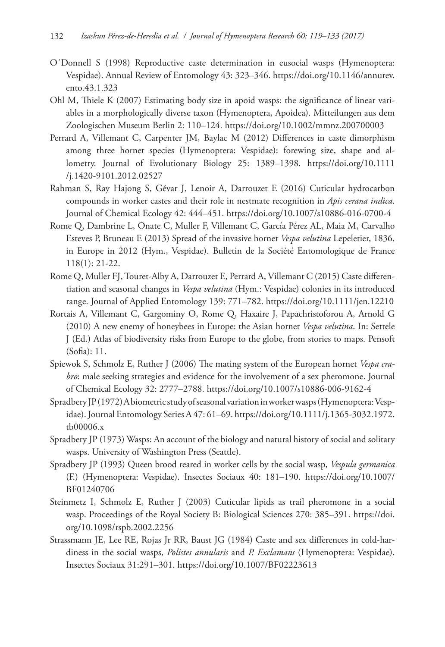- O´Donnell S (1998) Reproductive caste determination in eusocial wasps (Hymenoptera: Vespidae). Annual Review of Entomology 43: 323–346. [https://doi.org/10.1146/annurev.](https://doi.org/10.1146/annurev.ento.43.1.323) [ento.43.1.323](https://doi.org/10.1146/annurev.ento.43.1.323)
- Ohl M, Thiele K (2007) Estimating body size in apoid wasps: the significance of linear variables in a morphologically diverse taxon (Hymenoptera, Apoidea). Mitteilungen aus dem Zoologischen Museum Berlin 2: 110–124. <https://doi.org/10.1002/mmnz.200700003>
- Perrard A, Villemant C, Carpenter JM, Baylac M (2012) Differences in caste dimorphism among three hornet species (Hymenoptera: Vespidae): forewing size, shape and allometry. Journal of Evolutionary Biology 25: 1389–1398. [https://doi.org/10.1111](https://doi.org/10.1111/j.1420-9101.2012.02527) [/j.1420-9101.2012.02527](https://doi.org/10.1111/j.1420-9101.2012.02527)
- Rahman S, Ray Hajong S, Gévar J, Lenoir A, Darrouzet E (2016) Cuticular hydrocarbon compounds in worker castes and their role in nestmate recognition in *Apis cerana indica*. Journal of Chemical Ecology 42: 444–451.<https://doi.org/10.1007/s10886-016-0700-4>
- Rome Q, Dambrine L, Onate C, Muller F, Villemant C, García Pérez AL, Maia M, Carvalho Esteves P, Bruneau E (2013) Spread of the invasive hornet *Vespa velutina* Lepeletier, 1836, in Europe in 2012 (Hym., Vespidae). Bulletin de la Société Entomologique de France 118(1): 21-22.
- Rome Q, Muller FJ, Touret-Alby A, Darrouzet E, Perrard A, Villemant C (2015) Caste differentiation and seasonal changes in *Vespa velutina* (Hym.: Vespidae) colonies in its introduced range. Journal of Applied Entomology 139: 771–782. <https://doi.org/10.1111/jen.12210>
- Rortais A, Villemant C, Gargominy O, Rome Q, Haxaire J, Papachristoforou A, Arnold G (2010) A new enemy of honeybees in Europe: the Asian hornet *Vespa velutina*. In: Settele J (Ed.) Atlas of biodiversity risks from Europe to the globe, from stories to maps. Pensoft (Sofia): 11.
- Spiewok S, Schmolz E, Ruther J (2006) The mating system of the European hornet *Vespa crabro*: male seeking strategies and evidence for the involvement of a sex pheromone. Journal of Chemical Ecology 32: 2777–2788. <https://doi.org/10.1007/s10886-006-9162-4>
- Spradbery JP (1972) A biometric study of seasonal variation in worker wasps (Hymenoptera: Vespidae). Journal Entomology Series A 47: 61–69. [https://doi.org/10.1111/j.1365-3032.1972.](https://doi.org/10.1111/j.1365-3032.1972.tb00006.x) [tb00006.x](https://doi.org/10.1111/j.1365-3032.1972.tb00006.x)
- Spradbery JP (1973) Wasps: An account of the biology and natural history of social and solitary wasps. University of Washington Press (Seattle).
- Spradbery JP (1993) Queen brood reared in worker cells by the social wasp, *Vespula germanica* (F.) (Hymenoptera: Vespidae). Insectes Sociaux 40: 181–190. [https://doi.org/10.1007/](https://doi.org/10.1007/BF01240706) [BF01240706](https://doi.org/10.1007/BF01240706)
- Steinmetz I, Schmolz E, Ruther J (2003) Cuticular lipids as trail pheromone in a social wasp. Proceedings of the Royal Society B: Biological Sciences 270: 385–391. [https://doi.](https://doi.org/10.1098/rspb.2002.2256) [org/10.1098/rspb.2002.2256](https://doi.org/10.1098/rspb.2002.2256)
- Strassmann JE, Lee RE, Rojas Jr RR, Baust JG (1984) Caste and sex differences in cold-hardiness in the social wasps, *Polistes annularis* and *P. Exclamans* (Hymenoptera: Vespidae). Insectes Sociaux 31:291–301. <https://doi.org/10.1007/BF02223613>